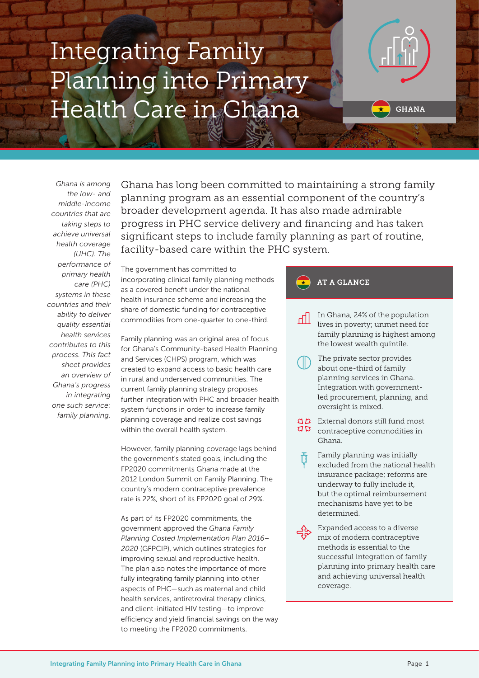# Integrating Family Planning into Primary Health Care in Ghana



*Ghana is among the low- and middle-income countries that are taking steps to achieve universal health coverage (UHC). The performance of primary health care (PHC) systems in these countries and their ability to deliver quality essential health services contributes to this process. This fact sheet provides an overview of Ghana's progress in integrating one such service: family planning.* 

Ghana has long been committed to maintaining a strong family planning program as an essential component of the country's broader development agenda. It has also made admirable progress in PHC service delivery and financing and has taken significant steps to include family planning as part of routine, facility-based care within the PHC system.

The government has committed to incorporating clinical family planning methods as a covered benefit under the national health insurance scheme and increasing the share of domestic funding for contraceptive commodities from one-quarter to one-third.

Family planning was an original area of focus for Ghana's Community-based Health Planning and Services (CHPS) program, which was created to expand access to basic health care in rural and underserved communities. The current family planning strategy proposes further integration with PHC and broader health system functions in order to increase family planning coverage and realize cost savings within the overall health system.

However, family planning coverage lags behind the government's stated goals, including the FP2020 commitments Ghana made at the 2012 London Summit on Family Planning. The country's modern contraceptive prevalence rate is 22%, short of its FP2020 goal of 29%.

As part of its FP2020 commitments, the government approved the *Ghana Family Planning Costed Implementation Plan 2016– 2020* (GFPCIP), which outlines strategies for improving sexual and reproductive health. The plan also notes the importance of more fully integrating family planning into other aspects of PHC—such as maternal and child health services, antiretroviral therapy clinics, and client-initiated HIV testing—to improve efficiency and yield financial savings on the way to meeting the FP2020 commitments.

#### AT A GLANCE

- In Ghana, 24% of the population ا الہ lives in poverty; unmet need for family planning is highest among the lowest wealth quintile.
	- The private sector provides about one-third of family planning services in Ghana. Integration with governmentled procurement, planning, and oversight is mixed.
- External donors still fund most  $75$ contraceptive commodities in Ghana.
	- Family planning was initially excluded from the national health insurance package; reforms are underway to fully include it, but the optimal reimbursement mechanisms have yet to be determined.
	- Expanded access to a diverse mix of modern contraceptive methods is essential to the successful integration of family planning into primary health care and achieving universal health coverage.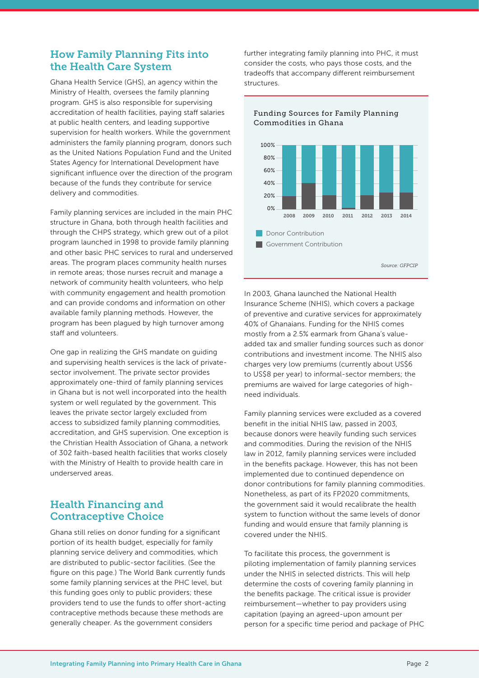#### How Family Planning Fits into the Health Care System

Ghana Health Service (GHS), an agency within the Ministry of Health, oversees the family planning program. GHS is also responsible for supervising accreditation of health facilities, paying staff salaries at public health centers, and leading supportive supervision for health workers. While the government administers the family planning program, donors such as the United Nations Population Fund and the United States Agency for International Development have significant influence over the direction of the program because of the funds they contribute for service delivery and commodities.

Family planning services are included in the main PHC structure in Ghana, both through health facilities and through the CHPS strategy, which grew out of a pilot program launched in 1998 to provide family planning and other basic PHC services to rural and underserved areas. The program places community health nurses in remote areas; those nurses recruit and manage a network of community health volunteers, who help with community engagement and health promotion and can provide condoms and information on other available family planning methods. However, the program has been plagued by high turnover among staff and volunteers.

One gap in realizing the GHS mandate on guiding and supervising health services is the lack of privatesector involvement. The private sector provides approximately one-third of family planning services in Ghana but is not well incorporated into the health system or well regulated by the government. This leaves the private sector largely excluded from access to subsidized family planning commodities, accreditation, and GHS supervision. One exception is the Christian Health Association of Ghana, a network of 302 faith-based health facilities that works closely with the Ministry of Health to provide health care in underserved areas.

#### Health Financing and Contraceptive Choice

Ghana still relies on donor funding for a significant portion of its health budget, especially for family planning service delivery and commodities, which are distributed to public-sector facilities. (See the figure on this page.) The World Bank currently funds some family planning services at the PHC level, but this funding goes only to public providers; these providers tend to use the funds to offer short-acting contraceptive methods because these methods are generally cheaper. As the government considers

further integrating family planning into PHC, it must consider the costs, who pays those costs, and the tradeoffs that accompany different reimbursement structures.

Funding Sources for Family Planning



In 2003, Ghana launched the National Health Insurance Scheme (NHIS), which covers a package of preventive and curative services for approximately 40% of Ghanaians. Funding for the NHIS comes mostly from a 2.5% earmark from Ghana's valueadded tax and smaller funding sources such as donor contributions and investment income. The NHIS also charges very low premiums (currently about US\$6 to US\$8 per year) to informal-sector members; the premiums are waived for large categories of highneed individuals.

Family planning services were excluded as a covered benefit in the initial NHIS law, passed in 2003, because donors were heavily funding such services and commodities. During the revision of the NHIS law in 2012, family planning services were included in the benefits package. However, this has not been implemented due to continued dependence on donor contributions for family planning commodities. Nonetheless, as part of its FP2020 commitments, the government said it would recalibrate the health system to function without the same levels of donor funding and would ensure that family planning is covered under the NHIS.

To facilitate this process, the government is piloting implementation of family planning services under the NHIS in selected districts. This will help determine the costs of covering family planning in the benefits package. The critical issue is provider reimbursement—whether to pay providers using capitation (paying an agreed-upon amount per person for a specific time period and package of PHC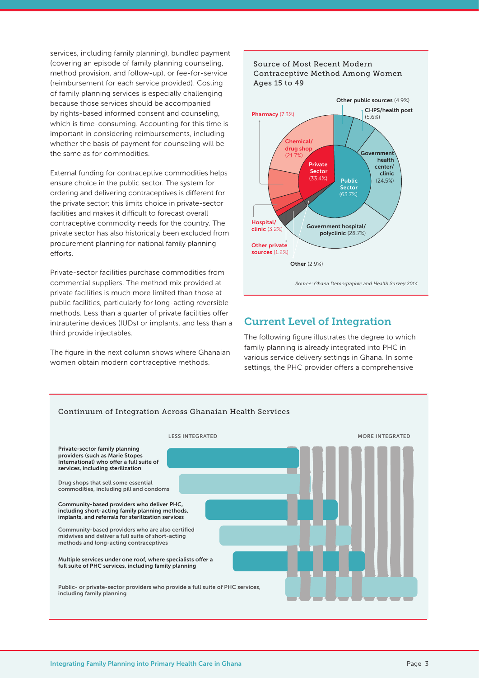services, including family planning), bundled payment (covering an episode of family planning counseling, method provision, and follow-up), or fee-for-service (reimbursement for each service provided). Costing of family planning services is especially challenging because those services should be accompanied by rights-based informed consent and counseling, which is time-consuming. Accounting for this time is important in considering reimbursements, including whether the basis of payment for counseling will be the same as for commodities.

External funding for contraceptive commodities helps ensure choice in the public sector. The system for ordering and delivering contraceptives is different for the private sector; this limits choice in private-sector facilities and makes it difficult to forecast overall contraceptive commodity needs for the country. The private sector has also historically been excluded from procurement planning for national family planning efforts.

Private-sector facilities purchase commodities from commercial suppliers. The method mix provided at private facilities is much more limited than those at public facilities, particularly for long-acting reversible methods. Less than a quarter of private facilities offer intrauterine devices (IUDs) or implants, and less than a third provide injectables.

The figure in the next column shows where Ghanaian women obtain modern contraceptive methods.



### Current Level of Integration

The following figure illustrates the degree to which family planning is already integrated into PHC in various service delivery settings in Ghana. In some settings, the PHC provider offers a comprehensive

![](_page_2_Figure_7.jpeg)

![](_page_2_Figure_8.jpeg)